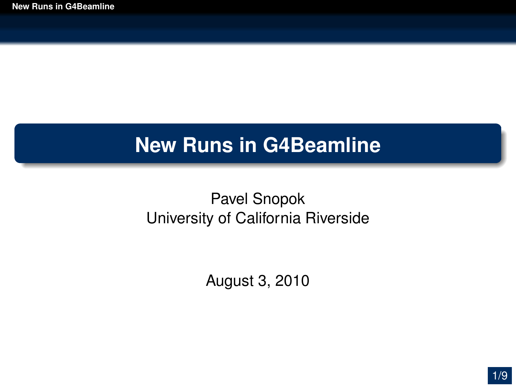### **New Runs in G4Beamline**

#### Pavel Snopok University of California Riverside

<span id="page-0-0"></span>August 3, 2010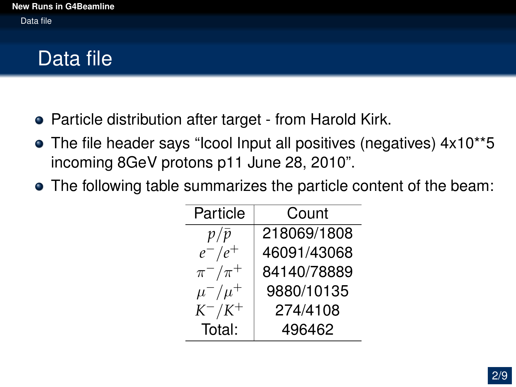# Data file

- Particle distribution after target from Harold Kirk.
- The file header says "Icool Input all positives (negatives) 4x10\*\*5 incoming 8GeV protons p11 June 28, 2010".
- The following table summarizes the particle content of the beam:

| Particle      | Count       |  |
|---------------|-------------|--|
| $p/\bar{p}$   | 218069/1808 |  |
| $e^-/e^+$     | 46091/43068 |  |
| $\pi^-/\pi^+$ | 84140/78889 |  |
| $\mu^-/\mu^+$ | 9880/10135  |  |
| $K^-/K^+$     | 274/4108    |  |
| Total:        | 496462      |  |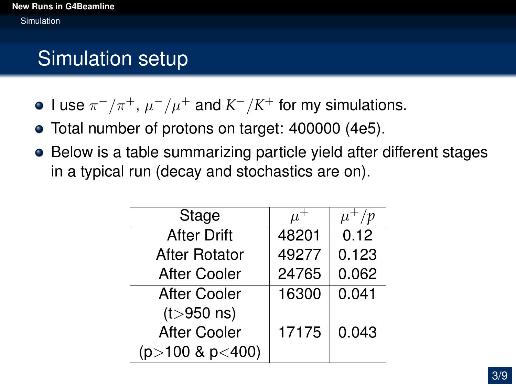## Simulation setup

- I use  $\pi^-/\pi^+$ ,  $\mu^-/\mu^+$  and  $K^-/K^+$  for my simulations.
- Total number of protons on target: 400000 (4e5).
- Below is a table summarizing particle yield after different stages in a typical run (decay and stochastics are on).

| Stage                |       | /p    |
|----------------------|-------|-------|
| <b>After Drift</b>   | 48201 | 0.12  |
| <b>After Rotator</b> | 49277 | 0.123 |
| <b>After Cooler</b>  | 24765 | 0.062 |
| <b>After Cooler</b>  | 16300 | 0.041 |
| $(t > 950$ ns)       |       |       |
| <b>After Cooler</b>  | 17175 | 0.043 |
| $(p>100 \& p<400)$   |       |       |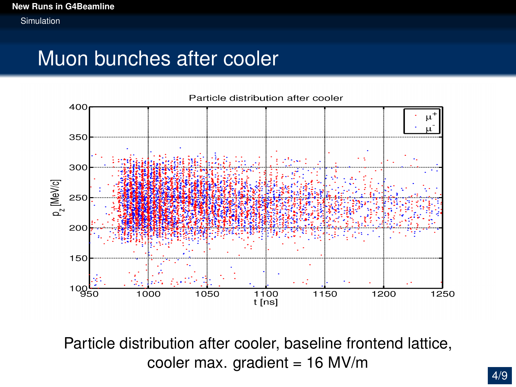#### Muon bunches after cooler



Particle distribution after cooler, baseline frontend lattice, cooler max. gradient =  $16$  MV/m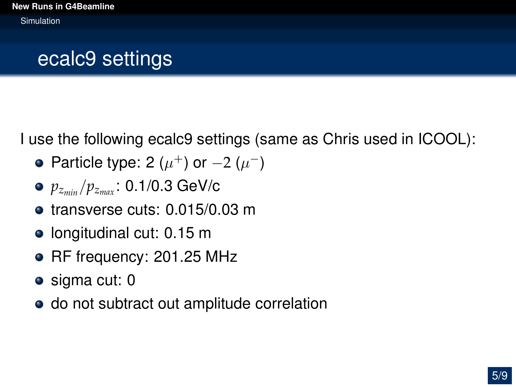## ecalc9 settings

I use the following ecalc9 settings (same as Chris used in ICOOL):

- Particle type: 2  $(\mu^+)$  or  $-2$   $(\mu^-)$
- *pzmin* /*pzmax* : 0.1/0.3 GeV/c
- **o** transverse cuts: 0.015/0.03 m
- $\bullet$  longitudinal cut: 0.15 m
- RF frequency: 201.25 MHz
- sigma cut: 0
- do not subtract out amplitude correlation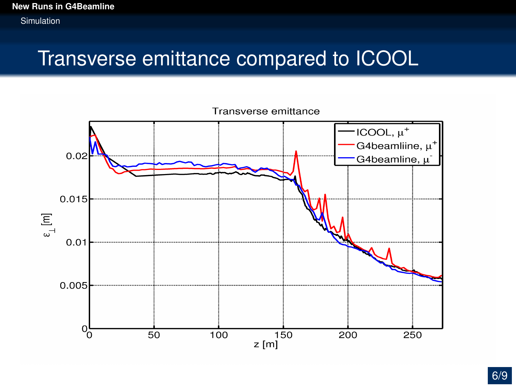#### Transverse emittance compared to ICOOL

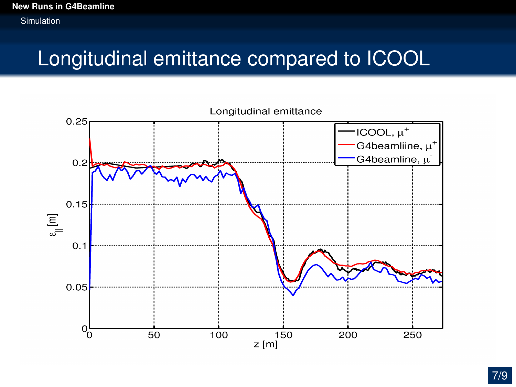## Longitudinal emittance compared to ICOOL

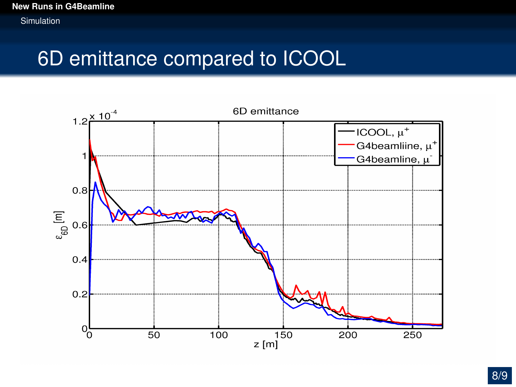## 6D emittance compared to ICOOL